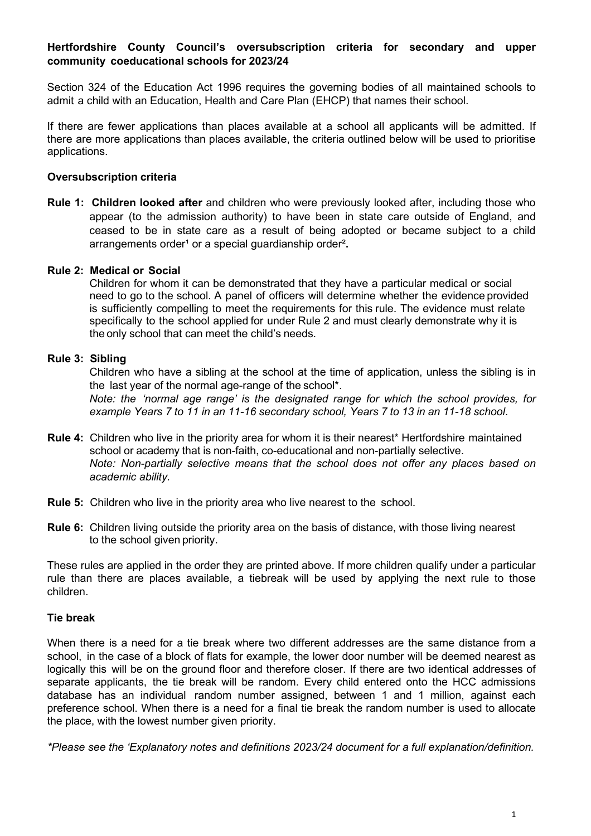# **Hertfordshire County Council's oversubscription criteria for secondary and upper community coeducational schools for 2023/24**

Section 324 of the Education Act 1996 requires the governing bodies of all maintained schools to admit a child with an Education, Health and Care Plan (EHCP) that names their school.

If there are fewer applications than places available at a school all applicants will be admitted. If there are more applications than places available, the criteria outlined below will be used to prioritise applications.

#### **Oversubscription criteria**

**Rule 1: Children looked after** and children who were previously looked after, including those who appear (to the admission authority) to have been in state care outside of England, and ceased to be in state care as a result of being adopted or became subject to a child arrangements order<sup>1</sup> or a special quardianship order<sup>2</sup>.

#### **Rule 2: Medical or Social**

Children for whom it can be demonstrated that they have a particular medical or social need to go to the school. A panel of officers will determine whether the evidence provided is sufficiently compelling to meet the requirements for this rule. The evidence must relate specifically to the school applied for under Rule 2 and must clearly demonstrate why it is the only school that can meet the child's needs.

## **Rule 3: Sibling**

Children who have a sibling at the school at the time of application, unless the sibling is in the last year of the normal age-range of the school\*. *Note: the 'normal age range' is the designated range for which the school provides, for*

*example Years 7 to 11 in an 11-16 secondary school, Years 7 to 13 in an 11-18 school*.

- **Rule 4:** Children who live in the priority area for whom it is their nearest\* Hertfordshire maintained school or academy that is non-faith, co-educational and non-partially selective. *Note: Non-partially selective means that the school does not offer any places based on academic ability.*
- **Rule 5:** Children who live in the priority area who live nearest to the school.
- **Rule 6:** Children living outside the priority area on the basis of distance, with those living nearest to the school given priority.

These rules are applied in the order they are printed above. If more children qualify under a particular rule than there are places available, a tiebreak will be used by applying the next rule to those children.

#### **Tie break**

When there is a need for a tie break where two different addresses are the same distance from a school, in the case of a block of flats for example, the lower door number will be deemed nearest as logically this will be on the ground floor and therefore closer. If there are two identical addresses of separate applicants, the tie break will be random. Every child entered onto the HCC admissions database has an individual random number assigned, between 1 and 1 million, against each preference school. When there is a need for a final tie break the random number is used to allocate the place, with the lowest number given priority.

*\*Please see the 'Explanatory notes and definitions 2023/24 document for a full explanation/definition.*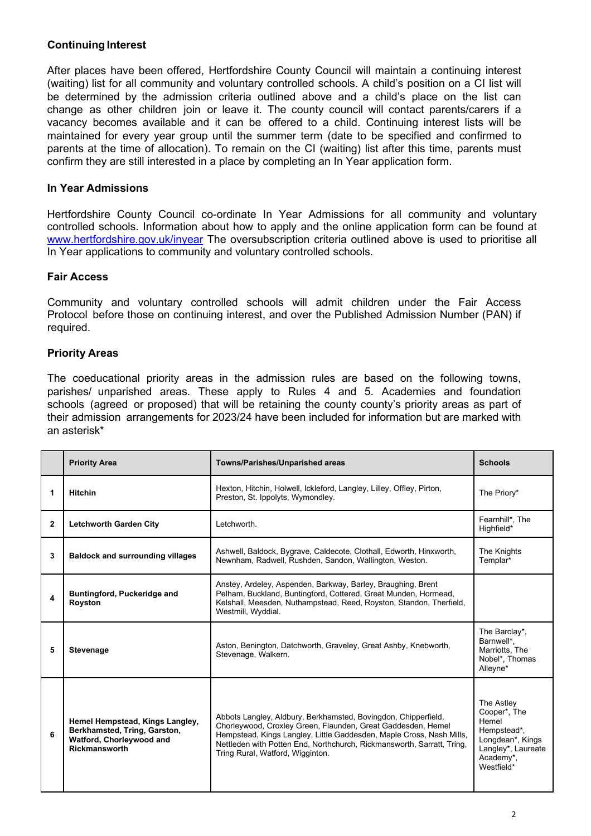# **Continuing Interest**

After places have been offered, Hertfordshire County Council will maintain a continuing interest (waiting) list for all community and voluntary controlled schools. A child's position on a CI list will be determined by the admission criteria outlined above and a child's place on the list can change as other children join or leave it. The county council will contact parents/carers if a vacancy becomes available and it can be offered to a child. Continuing interest lists will be maintained for every year group until the summer term (date to be specified and confirmed to parents at the time of allocation). To remain on the CI (waiting) list after this time, parents must confirm they are still interested in a place by completing an In Year application form.

### **In Year Admissions**

Hertfordshire County Council co-ordinate In Year Admissions for all community and voluntary controlled schools. Information about how to apply and the online application form can be found at [www.hertfordshire.gov.uk/inyear](http://www.hertfordshire.gov.uk/inyear) The oversubscription criteria outlined above is used to prioritise all In Year applications to community and voluntary controlled schools.

## **Fair Access**

Community and voluntary controlled schools will admit children under the Fair Access Protocol before those on continuing interest, and over the Published Admission Number (PAN) if required.

### **Priority Areas**

The coeducational priority areas in the admission rules are based on the following towns, parishes/ unparished areas. These apply to Rules 4 and 5. Academies and foundation schools (agreed or proposed) that will be retaining the county county's priority areas as part of their admission arrangements for 2023/24 have been included for information but are marked with an asterisk\*

|              | <b>Priority Area</b>                                                                                                | Towns/Parishes/Unparished areas                                                                                                                                                                                                                                                                                      | <b>Schools</b>                                                                                                          |
|--------------|---------------------------------------------------------------------------------------------------------------------|----------------------------------------------------------------------------------------------------------------------------------------------------------------------------------------------------------------------------------------------------------------------------------------------------------------------|-------------------------------------------------------------------------------------------------------------------------|
| 1            | <b>Hitchin</b>                                                                                                      | Hexton, Hitchin, Holwell, Ickleford, Langley, Lilley, Offley, Pirton,<br>Preston, St. Ippolyts, Wymondley.                                                                                                                                                                                                           | The Priory*                                                                                                             |
| $\mathbf{2}$ | <b>Letchworth Garden City</b>                                                                                       | Letchworth.                                                                                                                                                                                                                                                                                                          | Fearnhill*, The<br>Highfield*                                                                                           |
| 3            | <b>Baldock and surrounding villages</b>                                                                             | Ashwell, Baldock, Bygrave, Caldecote, Clothall, Edworth, Hinxworth,<br>Newnham, Radwell, Rushden, Sandon, Wallington, Weston.                                                                                                                                                                                        | The Knights<br>Templar*                                                                                                 |
| 4            | Buntingford, Puckeridge and<br>Royston                                                                              | Anstey, Ardeley, Aspenden, Barkway, Barley, Braughing, Brent<br>Pelham, Buckland, Buntingford, Cottered, Great Munden, Hormead,<br>Kelshall, Meesden, Nuthampstead, Reed, Royston, Standon, Therfield,<br>Westmill, Wyddial.                                                                                         |                                                                                                                         |
| 5            | <b>Stevenage</b>                                                                                                    | Aston, Benington, Datchworth, Graveley, Great Ashby, Knebworth,<br>Stevenage, Walkern.                                                                                                                                                                                                                               | The Barclay*,<br>Barnwell*,<br>Marriotts, The<br>Nobel*, Thomas<br>Alleyne*                                             |
| 6            | Hemel Hempstead, Kings Langley,<br>Berkhamsted, Tring, Garston,<br>Watford, Chorleywood and<br><b>Rickmansworth</b> | Abbots Langley, Aldbury, Berkhamsted, Bovingdon, Chipperfield,<br>Chorleywood, Croxley Green, Flaunden, Great Gaddesden, Hemel<br>Hempstead, Kings Langley, Little Gaddesden, Maple Cross, Nash Mills,<br>Nettleden with Potten End, Northchurch, Rickmansworth, Sarratt, Tring,<br>Tring Rural, Watford, Wigginton. | The Astley<br>Cooper*, The<br>Hemel<br>Hempstead*,<br>Longdean*, Kings<br>Langley*, Laureate<br>Academy*,<br>Westfield* |